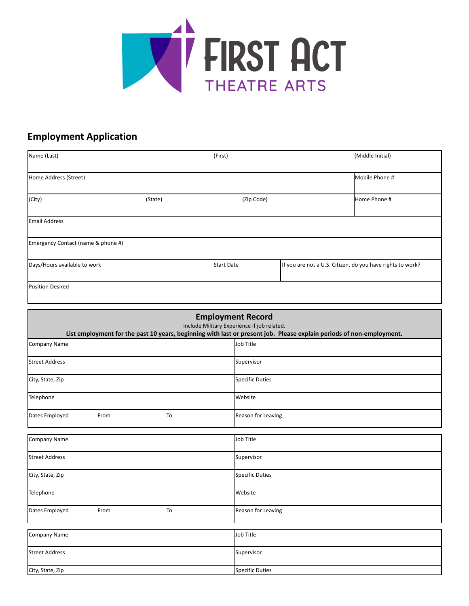

## **Employment Application**

| Name (Last)                        | (First) |                   | (Middle Initial)                                           |  |
|------------------------------------|---------|-------------------|------------------------------------------------------------|--|
| Home Address (Street)              |         |                   | Mobile Phone #                                             |  |
| (City)                             | (State) | (Zip Code)        | Home Phone #                                               |  |
| <b>Email Address</b>               |         |                   |                                                            |  |
| Emergency Contact (name & phone #) |         |                   |                                                            |  |
| Days/Hours available to work       |         | <b>Start Date</b> | If you are not a U.S. Citizen, do you have rights to work? |  |
| <b>Position Desired</b>            |         |                   |                                                            |  |

| <b>Employment Record</b><br>Include Military Experience if job related.<br>List employment for the past 10 years, beginning with last or present job. Please explain periods of non-employment. |      |    |                        |  |
|-------------------------------------------------------------------------------------------------------------------------------------------------------------------------------------------------|------|----|------------------------|--|
| <b>Company Name</b>                                                                                                                                                                             |      |    | Job Title              |  |
| <b>Street Address</b>                                                                                                                                                                           |      |    | Supervisor             |  |
| City, State, Zip                                                                                                                                                                                |      |    | Specific Duties        |  |
| Telephone                                                                                                                                                                                       |      |    | Website                |  |
| Dates Employed                                                                                                                                                                                  | From | To | Reason for Leaving     |  |
| <b>Company Name</b>                                                                                                                                                                             |      |    | Job Title              |  |
| <b>Street Address</b>                                                                                                                                                                           |      |    | Supervisor             |  |
| City, State, Zip                                                                                                                                                                                |      |    | <b>Specific Duties</b> |  |
| Telephone                                                                                                                                                                                       |      |    | Website                |  |
| Dates Employed                                                                                                                                                                                  | From | To | Reason for Leaving     |  |
| <b>Company Name</b>                                                                                                                                                                             |      |    | Job Title              |  |
| <b>Street Address</b>                                                                                                                                                                           |      |    | Supervisor             |  |
| City, State, Zip                                                                                                                                                                                |      |    | <b>Specific Duties</b> |  |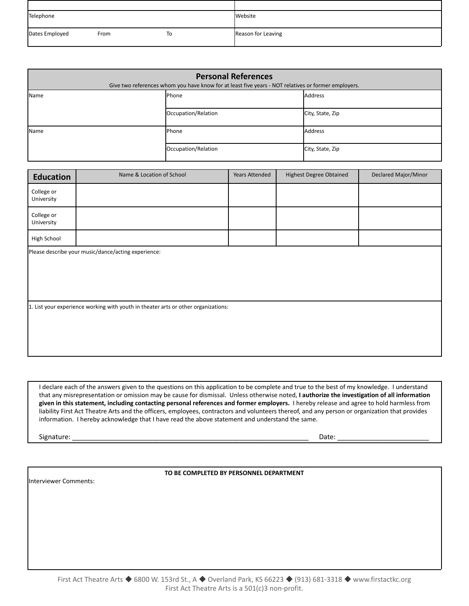| Telephone      |      |    | Website            |
|----------------|------|----|--------------------|
| Dates Employed | From | To | Reason for Leaving |

| <b>Personal References</b><br>Give two references whom you have know for at least five years - NOT relatives or former employers. |                     |                  |  |  |
|-----------------------------------------------------------------------------------------------------------------------------------|---------------------|------------------|--|--|
| Name                                                                                                                              | Phone               | Address          |  |  |
|                                                                                                                                   | Occupation/Relation | City, State, Zip |  |  |
| <b>Name</b>                                                                                                                       | <b>Phone</b>        | Address          |  |  |
|                                                                                                                                   | Occupation/Relation | City, State, Zip |  |  |

| <b>Education</b>                                    | Name & Location of School                                                          | Years Attended | <b>Highest Degree Obtained</b> | Declared Major/Minor |  |
|-----------------------------------------------------|------------------------------------------------------------------------------------|----------------|--------------------------------|----------------------|--|
| College or<br>University                            |                                                                                    |                |                                |                      |  |
| College or<br>University                            |                                                                                    |                |                                |                      |  |
| High School                                         |                                                                                    |                |                                |                      |  |
| Please describe your music/dance/acting experience: |                                                                                    |                |                                |                      |  |
|                                                     | 1. List your experience working with youth in theater arts or other organizations: |                |                                |                      |  |

I declare each of the answers given to the questions on this application to be complete and true to the best of my knowledge. I understand that any misrepresentation or omission may be cause for dismissal. Unless otherwise noted, **I authorize the investigation of all information given in this statement, including contacting personal references and former employers.** I hereby release and agree to hold harmless from liability First Act Theatre Arts and the officers, employees, contractors and volunteers thereof, and any person or organization that provides information. I hereby acknowledge that I have read the above statement and understand the same.

Signature: \_\_\_\_\_\_\_\_\_\_\_\_\_\_\_\_\_\_\_\_\_\_\_\_\_\_\_\_\_\_\_\_\_\_\_\_\_\_\_\_\_\_\_\_\_\_\_\_\_\_\_\_\_\_\_\_\_\_\_\_\_\_ Date: \_\_\_\_\_\_\_\_\_\_\_\_\_\_\_\_\_\_\_\_\_\_\_\_

Interviewer Comments:

**TO BE COMPLETED BY PERSONNEL DEPARTMENT**